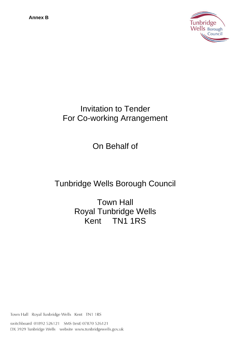

# Invitation to Tender For Co-working Arrangement

On Behalf of

# Tunbridge Wells Borough Council

Town Hall Royal Tunbridge Wells Kent TN1 1RS

Town Hall Royal Tunbridge Wells Kent TN1 1RS

switchboard 01892 526121 SMS (text) 07870 526121 DX 3929 Tunbridge Wells website www.tunbridgewells.gov.uk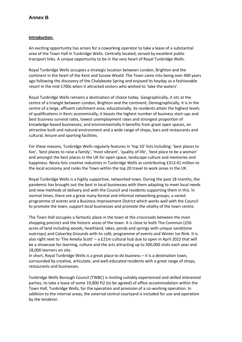## **Annex B**

#### **Introduction:**

An exciting opportunity has arisen for a coworking operator to take a lease of a substantial area of the Town Hall in Tunbridge Wells. Centrally located, served by excellent public transport links. A unique opportunity to be in the very heart of Royal Tunbridge Wells.

Royal Tunbridge Wells occupies a strategic location between London, Brighton and the continent in the heart of the Kent and Sussex Weald. The Town came into being over 400 years ago following the discovery of the Chalybeate Spring and enjoyed its heyday as a fashionable resort in the mid-1700s when it attracted visitors who wished to 'take the waters'.

Royal Tunbridge Wells remains a destination of choice today. Geographically, it sits at the centre of a triangle between London, Brighton and the continent; Demographically, it is in the centre of a large, affluent catchment area; educationally, its residents attain the highest levels of qualifications in Kent; economically, it boasts the highest number of business start-ups and best business survival rates, lowest unemployment rates and strongest proportion of knowledge-based businesses; and environmentally it benefits from great open spaces, an attractive built and natural environment and a wide range of shops, bars and restaurants and cultural, leisure and sporting facilities.

For these reasons, Tunbridge Wells regularly features in 'top 10' lists including: 'best places to live', 'best places to raise a family', 'most vibrant', 'quality of life', 'best place to be a woman' and amongst the best places in the UK for open space, landscape culture and memories and happiness. Nesta lists creative industries in Tunbridge Wells as contributing £313.41 million to the local economy and ranks the Town within the top 20 travel to work areas in the UK.

Royal Tunbridge Wells is a highly supportive, networked town. During the past 18 months, the pandemic has brought out the best in local businesses with them adapting to meet local needs and new methods of delivery and with the Council and residents supporting them in this. In normal times, there are a great many formal and informal networking groups, a varied programme of events and a Business Improvement District which works well with the Council to promote the town, support local businesses and promote the vitality of the town centre.

The Town Hall occupies a fantastic place in the town at the crossroads between the main shopping precinct and the historic areas of the town. It is close to both The Common (256 acres of land including woods, heathland, lakes, ponds and springs with unique sandstone outcrops) and Calverley Grounds with its café, programme of events and Winter Ice Rink. It is also right next to 'The Amelia Scott' – a £21m cultural hub due to open in April 2022 that will be a showcase for learning, culture and the arts attracting up to 500,000 visits each year and 18,000 learners on site.

In short, Royal Tunbridge Wells is a great place to do business – it is a destination town, surrounded by creative, articulate, and well-educated residents with a great range of shops, restaurants and businesses.

Tunbridge Wells Borough Council (TWBC) is inviting suitably experienced and skilled interested parties, to take a lease of some 19,800 ft2 (to be agreed) of office accommodation within the Town Hall, Tunbridge Wells, for the operation and provision of a co-working operation. In addition to the internal areas, the external central courtyard is included for use and operation by the tenderer.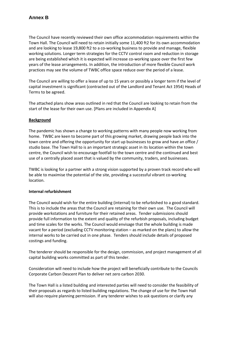The Council have recently reviewed their own office accommodation requirements within the Town Hall. The Council will need to retain initially some 11,400 ft2 for its own accommodation and are looking to lease 19,800 ft2 to a co-working business to provide and manage, flexible working solutions. Longer term strategies for the CCTV control room and reduction in storage are being established which it is expected will increase co-working space over the first few years of the lease arrangements. In addition, the introduction of more flexible Council work practices may see the volume of TWBC office space reduce over the period of a lease.

The Council are willing to offer a lease of up to 15 years or possibly a longer term if the level of capital investment is significant (contracted out of the Landlord and Tenant Act 1954) Heads of Terms to be agreed.

The attached plans show areas outlined in red that the Council are looking to retain from the start of the lease for their own use. [Plans are included in Appendix A]

## **Background**

The pandemic has shown a change to working patterns with many people now working from home. TWBC are keen to become part of this growing market, drawing people back into the town centre and offering the opportunity for start up businesses to grow and have an office / studio base. The Town Hall to is an important strategic asset in its location within the town centre, the Council wish to encourage footfall to the town centre and the continued and best use of a centrally placed asset that is valued by the community, traders, and businesses.

TWBC is looking for a partner with a strong vision supported by a proven track record who will be able to maximise the potential of the site, providing a successful vibrant co-working location.

## **Internal refurbishment**

The Council would wish for the entire building (internal) to be refurbished to a good standard. This is to include the areas that the Council are retaining for their own use. The Council will provide workstations and furniture for their retained areas. Tender submissions should provide full information to the extent and quality of the refurbish proposals, including budget and time scales for the works. The Council would envisage that the whole building is made vacant for a period (excluding CCTV monitoring station – as marked on the plans) to allow the internal works to be carried out in one phase. Tenders should include details of proposed costings and funding.

The tenderer should be responsible for the design, commission, and project management of all capital building works committed as part of this tender.

Consideration will need to include how the project will beneficially contribute to the Councils Corporate Carbon Descent Plan to deliver net zero carbon 2030.

The Town Hall is a listed building and interested parties will need to consider the feasibility of their proposals as regards to listed building regulations. The change of use for the Town Hall will also require planning permission. If any tenderer wishes to ask questions or clarify any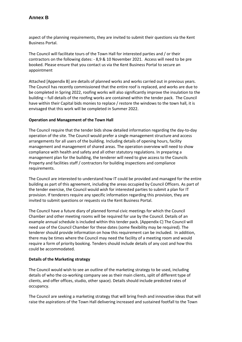aspect of the planning requirements, they are invited to submit their questions via the Kent Business Portal.

The Council will facilitate tours of the Town Hall for interested parties and / or their contractors on the following dates: - 8,9 & 10 November 2021. Access will need to be pre booked. Please ensure that you contact us via the Kent Business Portal to secure an appointment

Attached [Appendix B] are details of planned works and works carried out in previous years. The Council has recently commissioned that the entire roof is replaced, and works are due to be completed in Spring 2022, roofing works will also significantly improve the insulation to the building – full details of the roofing works are contained within the tender pack. The Council have within their Capital bids monies to replace / restore the windows to the town hall, it is envisaged that this work will be completed in Summer 2022.

## **Operation and Management of the Town Hall**

The Council require that the tender bids show detailed information regarding the day-to-day operation of the site. The Council would prefer a single management structure and access arrangements for all users of the building. Including details of opening hours, facility management and management of shared areas. The operation overview will need to show compliance with health and safety and all other statutory regulations. In preparing a management plan for the building, the tenderer will need to give access to the Councils Property and facilities staff / contractors for building inspections and compliance requirements.

The Council are interested to understand how IT could be provided and managed for the entire building as part of this agreement, including the areas occupied by Council Officers. As part of the tender exercise, the Council would wish for interested parties to submit a plan for IT provision. If tenderers require any specific information regarding this provision, they are invited to submit questions or requests via the Kent Business Portal.

The Council have a future diary of planned formal civic meetings for which the Council Chamber and other meeting rooms will be required for use by the Council. Details of an example annual schedule is included within this tender pack. [Appendix C} The Council will need use of the Council Chamber for these dates (some flexibility may be required). The tenderer should provide information on how this requirement can be included. In addition, there may be times where the Council may need the facility of a meeting room and would require a form of priority booking. Tenders should include details of any cost and how this could be accommodated.

## **Details of the Marketing strategy**

The Council would wish to see an outline of the marketing strategy to be used, including details of who the co-working company see as their main clients, split of different type of clients, and offer offices, studio, other space). Details should include predicted rates of occupancy.

The Council are seeking a marketing strategy that will bring fresh and innovative ideas that will raise the aspirations of the Town Hall delivering increased and sustained footfall to the Town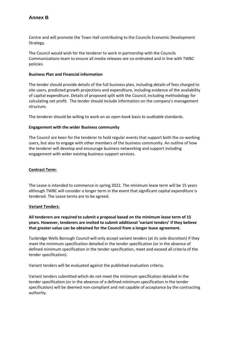Centre and will promote the Town Hall contributing to the Councils Economic Development Strategy.

The Council would wish for the tenderer to work in partnership with the Councils Communications team to ensure all media releases are co-ordinated and in line with TWBC policies.

#### **Business Plan and Financial information**

The tender should provide details of the full business plan, including details of fees charged to site users, predicted growth projections and expenditure, including evidence of the availability of capital expenditure. Details of proposed split with the Council, including methodology for calculating net profit. The tender should include information on the company's management structure.

The tenderer should be willing to work on an open book basis to auditable standards.

## **Engagement with the wider Business community**

The Council are keen for the tenderer to hold regular events that support both the co-working users, but also to engage with other members of the business community. An outline of how the tenderer will develop and encourage business networking and support including engagement with wider existing business support services.

#### **Contract Term:**

The Lease is intended to commence in spring 2022. The minimum lease term will be 15 years although TWBC will consider a longer term in the event that significant capital expenditure is tendered. The Lease terms are to be agreed.

#### **Variant Tenders:**

**All tenderers are required to submit a proposal based on the minimum lease term of 15 years. However, tenderers are invited to submit additional 'variant tenders' if they believe that greater value can be obtained for the Council from a longer lease agreement.**

Tunbridge Wells Borough Council will only accept variant tenders (at its sole discretion) if they meet the minimum specification detailed in the tender specification (or in the absence of defined minimum specification in the tender specification, meet and exceed all criteria of the tender specification).

Variant tenders will be evaluated against the published evaluation criteria.

Variant tenders submitted which do not meet the minimum specification detailed in the tender specification (or in the absence of a defined minimum specification in the tender specification) will be deemed non-compliant and not capable of acceptance by the contracting authority.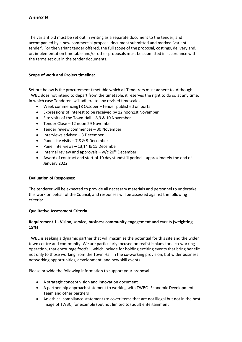The variant bid must be set out in writing as a separate document to the tender, and accompanied by a new commercial proposal document submitted and marked 'variant tender'. For the variant tender offered, the full scope of the proposal, costings, delivery and, or, implementation timetable and/or other proposals must be submitted in accordance with the terms set out in the tender documents.

## **Scope of work and Project timeline:**

Set out below is the procurement timetable which all Tenderers must adhere to. Although TWBC does not intend to depart from the timetable, it reserves the right to do so at any time, in which case Tenderers will adhere to any revised timescales

- Week commencing18 October tender published on portal
- Expressions of Interest to be received by 12 noon1st November
- Site visits of the Town Hall 8,9 & 10 November
- Tender Close 12 noon 29 November
- Tender review commences 30 November
- Interviews advised 3 December
- Panel site visits 7,8 & 9 December
- Panel interviews 13,14 & 15 December
- Internal review and approvals  $w/c$  20<sup>th</sup> December
- Award of contract and start of 10 day standstill period approximately the end of January 2022

## **Evaluation of Responses:**

The tenderer will be expected to provide all necessary materials and personnel to undertake this work on behalf of the Council, and responses will be assessed against the following criteria:

## **Qualitative Assessment Criteria**

## **Requirement 1 - Vision, service, business community engagement and** events **(weighting 15%)**

TWBC is seeking a dynamic partner that will maximise the potential for this site and the wider town centre and community. We are particularly focused on realistic plans for a co-working operation, that encourage footfall, which include for holding exciting events that bring benefit not only to those working from the Town Hall in the co-working provision, but wider business networking opportunities, development, and new skill events.

Please provide the following information to support your proposal:

- A strategic concept vision and innovation document
- A partnership approach statement to working with TWBCs Economic Development Team and other partners
- An ethical compliance statement (to cover items that are not illegal but not in the best image of TWBC, for example (but not limited to) adult entertainment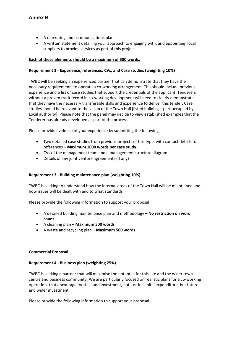- A marketing and communications plan
- A written statement detailing your approach to engaging with, and appointing, local suppliers to provide services as part of this project

### **Each of these elements should be a maximum of 500 words.**

#### **Requirement 2** - **Experience, references, CVs, and Case studies (weighting 10%)**

TWBC will be seeking an experienced partner that can demonstrate that they have the necessary requirements to operate a co-working arrangement. This should include previous experience and a list of case studies that support the credentials of the applicant. Tenderers without a proven track record in co-working development will need to clearly demonstrate that they have the necessary transferable skills and experience to deliver this tender. Case studies should be relevant to the vision of the Town Hall [listed building – part occupied by a Local authority]. Please note that the panel may decide to view established examples that the Tenderer has already developed as part of the process

Please provide evidence of your experience by submitting the following:

- Two detailed case studies from previous projects of this type, with contact details for references **– Maximum 1000 words per case study.**
- CVs of the management team and a management structure diagram
- Details of any joint venture agreements (if any)

#### **Requirement 3 - Building maintenance plan (weighting 10%)**

TWBC is seeking to understand how the internal areas of the Town Hall will be maintained and how issues will be dealt with and to what standards.

Please provide the following information to support your proposal:

- A detailed building maintenance plan and methodology **No restriction on word count**
- A cleaning plan **Maximum 500 words**
- A waste and recycling plan **Maximum 500 words**

#### **Commercial Proposal**

#### **Requirement 4 - Business plan (weighting 25%)**

TWBC is seeking a partner that will maximise the potential for this site and the wider town centre and business community. We are particularly focused on realistic plans for a co-working operation, that encourage footfall, and investment, not just in capital expenditure, but future and wider investment

Please provide the following information to support your proposal: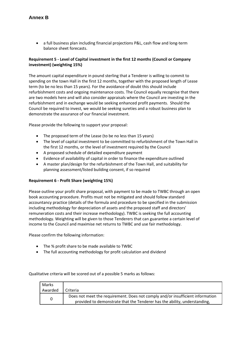• a full business plan including financial projections P&L, cash flow and long-term balance sheet forecasts.

### **Requirement 5 - Level of Capital investment in the first 12 months (Council or Company investment) (weighting 15%)**

The amount capital expenditure in pound sterling that a Tenderer is willing to commit to spending on the town Hall in the first 12 months, together with the proposed length of Lease term (to be no less than 15 years). For the avoidance of doubt this should include refurbishment costs and ongoing maintenance costs. The Council equally recognise that there are two models here and will also consider appraisals where the Council are investing in the refurbishment and in exchange would be seeking enhanced profit payments. Should the Council be required to invest, we would be seeking sureties and a robust business plan to demonstrate the assurance of our financial investment.

Please provide the following to support your proposal:

- The proposed term of the Lease (to be no less than 15 years)
- The level of capital investment to be committed to refurbishment of the Town Hall in the first 12 months, or the level of investment required by the Council
- A proposed schedule of detailed expenditure payment
- Evidence of availability of capital in order to finance the expenditure outlined
- A master plan/design for the refurbishment of the Town Hall, and suitability for planning assessment/listed building consent, if so required

#### **Requirement 6 - Profit Share (weighting 15%)**

Please outline your profit share proposal, with payment to be made to TWBC through an open book accounting procedure. Profits must not be mitigated and should follow standard accountancy practice (details of the formula and procedure to be specified in the submission including methodology for depreciation of assets and the proposed staff and directors' remuneration costs and their increase methodology). TWBC is seeking the full accounting methodology. Weighting will be given to those Tenderers that can guarantee a certain level of income to the Council and maximise net returns to TWBC and use fair methodology.

Please confirm the following information:

- The % profit share to be made available to TWBC
- The full accounting methodology for profit calculation and dividend

Qualitative criteria will be scored out of a possible 5 marks as follows:

| Marks   |                                                                                                                                                             |
|---------|-------------------------------------------------------------------------------------------------------------------------------------------------------------|
| Awarded | Criteria                                                                                                                                                    |
| 0       | Does not meet the requirement. Does not comply and/or insufficient information<br>provided to demonstrate that the Tenderer has the ability, understanding, |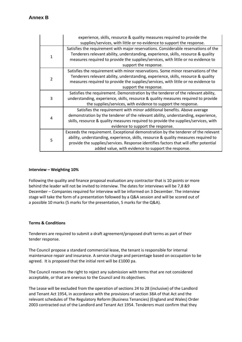|                | experience, skills, resource & quality measures required to provide the<br>supplies/services, with little or no evidence to support the response.                                                                                                                                                                        |
|----------------|--------------------------------------------------------------------------------------------------------------------------------------------------------------------------------------------------------------------------------------------------------------------------------------------------------------------------|
| 1              | Satisfies the requirement with major reservations. Considerable reservations of the<br>Tenderers relevant ability, understanding, experience, skills, resource & quality<br>measures required to provide the supplies/services, with little or no evidence to<br>support the response.                                   |
| $\overline{2}$ | Satisfies the requirement with minor reservations. Some minor reservations of the<br>Tenderers relevant ability, understanding, experience, skills, resource & quality<br>measures required to provide the supplies/services, with little or no evidence to<br>support the response.                                     |
| $\overline{3}$ | Satisfies the requirement. Demonstration by the tenderer of the relevant ability,<br>understanding, experience, skills, resource & quality measures required to provide<br>the supplies/services, with evidence to support the response.                                                                                 |
| $\overline{4}$ | Satisfies the requirement with minor additional benefits. Above average<br>demonstration by the tenderer of the relevant ability, understanding, experience,<br>skills, resource & quality measures required to provide the supplies/services, with<br>evidence to support the response.                                 |
| 5              | Exceeds the requirement. Exceptional demonstration by the tenderer of the relevant<br>ability, understanding, experience, skills, resource & quality measures required to<br>provide the supplies/services. Response identifies factors that will offer potential<br>added value, with evidence to support the response. |

#### **Interview – Weighting 10%**

Following the quality and finance proposal evaluation any contractor that is 10 points or more behind the leader will not be invited to interview. The dates for interviews will be 7,8 &9 December – Companies required for interview will be informed on 3 December. The interview stage will take the form of a presentation followed by a Q&A session and will be scored out of a possible 10 marks (5 marks for the presentation, 5 marks for the Q&A).

#### **Terms & Conditions**

Tenderers are required to submit a draft agreement/proposed draft terms as part of their tender response.

The Council propose a standard commercial lease, the tenant is responsible for internal maintenance repair and insurance. A service charge and percentage based on occupation to be agreed. It is proposed that the initial rent will be £1000 pa.

The Council reserves the right to reject any submission with terms that are not considered acceptable, or that are onerous to the Council and its objectives.

The Lease will be excluded from the operation of sections 24 to 28 (inclusive) of the Landlord and Tenant Act 1954, in accordance with the provisions of section 38A of that Act and the relevant schedules of The Regulatory Reform (Business Tenancies) (England and Wales) Order 2003 contracted out of the Landlord and Tenant Act 1954. Tenderers must confirm that they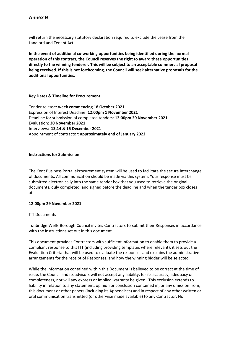will return the necessary statutory declaration required to exclude the Lease from the Landlord and Tenant Act

**In the event of additional co-working opportunities being identified during the normal operation of this contract, the Council reserves the right to award these opportunities directly to the winning tenderer. This will be subject to an acceptable commercial proposal being received. If this is not forthcoming, the Council will seek alternative proposals for the additional opportunities.**

#### **Key Dates & Timeline for Procurement**

Tender release: **week commencing 18 October 2021** Expression of Interest Deadline: **12:00pm 1 November 2021** Deadline for submission of completed tenders: **12:00pm 29 November 2021** Evaluation: **30 November 2021** Interviews: **13,14 & 15 December 2021** Appointment of contractor: **approximately end of January 2022**

#### **Instructions for Submission**

The Kent Business Portal eProcurement system will be used to facilitate the secure interchange of documents. All communication should be made via this system. Your response must be submitted electronically into the same tender box that you used to retrieve the original documents, duly completed, and signed before the deadline and when the tender box closes at:

#### **12:00pm 29 November 2021.**

## ITT Documents

Tunbridge Wells Borough Council invites Contractors to submit their Responses in accordance with the instructions set out in this document.

This document provides Contractors with sufficient information to enable them to provide a compliant response to this ITT (including providing templates where relevant); it sets out the Evaluation Criteria that will be used to evaluate the responses and explains the administrative arrangements for the receipt of Responses, and how the winning bidder will be selected.

While the information contained within this Document is believed to be correct at the time of issue, the Council and its advisors will not accept any liability, for its accuracy, adequacy or completeness, nor will any express or implied warranty be given. This exclusion extends to liability in relation to any statement, opinion or conclusion contained in, or any omission from, this document or other papers (including its Appendices) and in respect of any other written or oral communication transmitted (or otherwise made available) to any Contractor. No